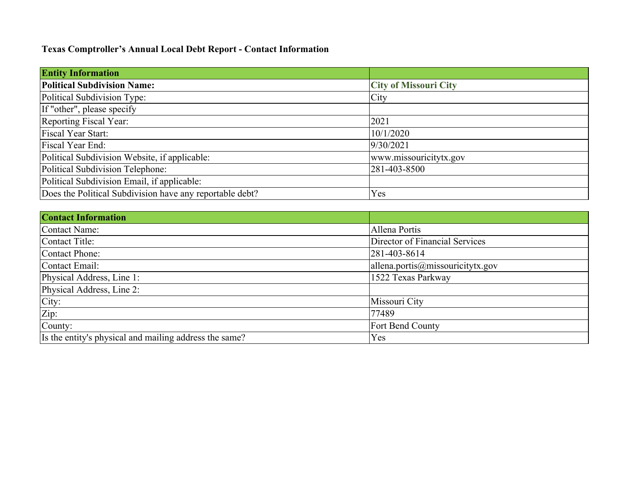# **Texas Comptroller's Annual Local Debt Report - Contact Information**

| <b>Entity Information</b>                                |                              |  |  |  |  |
|----------------------------------------------------------|------------------------------|--|--|--|--|
| <b>Political Subdivision Name:</b>                       | <b>City of Missouri City</b> |  |  |  |  |
| Political Subdivision Type:                              | City                         |  |  |  |  |
| If "other", please specify                               |                              |  |  |  |  |
| Reporting Fiscal Year:                                   | 2021                         |  |  |  |  |
| Fiscal Year Start:                                       | 10/1/2020                    |  |  |  |  |
| Fiscal Year End:                                         | 9/30/2021                    |  |  |  |  |
| Political Subdivision Website, if applicable:            | www.missouricitytx.gov       |  |  |  |  |
| Political Subdivision Telephone:                         | 281-403-8500                 |  |  |  |  |
| Political Subdivision Email, if applicable:              |                              |  |  |  |  |
| Does the Political Subdivision have any reportable debt? | Yes                          |  |  |  |  |

| <b>Contact Information</b>                             |                                                     |  |  |  |  |
|--------------------------------------------------------|-----------------------------------------------------|--|--|--|--|
| Contact Name:                                          | Allena Portis                                       |  |  |  |  |
| Contact Title:                                         | Director of Financial Services                      |  |  |  |  |
| Contact Phone:                                         | 281-403-8614                                        |  |  |  |  |
| Contact Email:                                         | $\alpha$ lallena.portis $\omega$ missouricitytx.gov |  |  |  |  |
| Physical Address, Line 1:                              | 1522 Texas Parkway                                  |  |  |  |  |
| Physical Address, Line 2:                              |                                                     |  |  |  |  |
| City:                                                  | Missouri City                                       |  |  |  |  |
| Zip:                                                   | 77489                                               |  |  |  |  |
| County:                                                | Fort Bend County                                    |  |  |  |  |
| Is the entity's physical and mailing address the same? | Yes                                                 |  |  |  |  |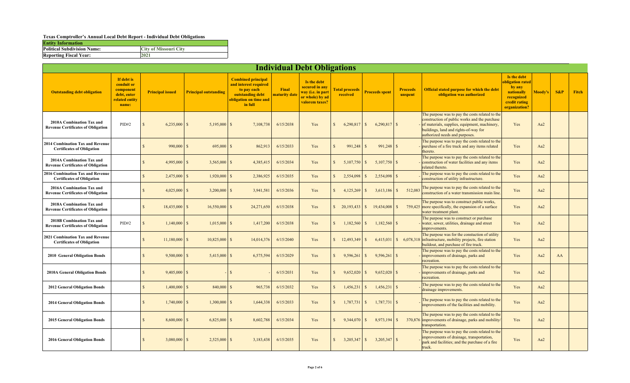### **Texas Comptroller's Annual Local Debt Report - Individual Debt Obligations**

| <b>Entity Information</b>          |                              |
|------------------------------------|------------------------------|
| <b>Political Subdivision Name:</b> | <b>City of Missouri City</b> |
| <b>Reporting Fiscal Year:</b>      | 2021                         |

| <b>Individual Debt Obligations</b>                                     |                                                                                 |                    |                         |                                |                                                                                                                            |                        |                                                                                         |              |                                   |              |                       |                            |                                                                                                                                                                                                                              |                                                                                                        |         |        |       |
|------------------------------------------------------------------------|---------------------------------------------------------------------------------|--------------------|-------------------------|--------------------------------|----------------------------------------------------------------------------------------------------------------------------|------------------------|-----------------------------------------------------------------------------------------|--------------|-----------------------------------|--------------|-----------------------|----------------------------|------------------------------------------------------------------------------------------------------------------------------------------------------------------------------------------------------------------------------|--------------------------------------------------------------------------------------------------------|---------|--------|-------|
| <b>Outstanding debt obligation</b>                                     | If debt is<br>conduit or<br>component<br>debt, enter<br>related entity<br>name: |                    | <b>Principal issued</b> | <b>Principal outstanding</b>   | <b>Combined principal</b><br>and interest required<br>to pay each<br>outstanding debt<br>obligation on time and<br>in full | Final<br>maturity date | Is the debt<br>secured in any<br>way (i.e. in part<br>or whole) by ad<br>valorem taxes? |              | <b>Fotal proceeds</b><br>received |              | <b>Proceeds spent</b> | <b>Proceeds</b><br>unspent | <b>Official stated purpose for which the debt</b><br>obligation was authorized                                                                                                                                               | Is the debt<br>bligation rated<br>by any<br>nationally<br>recognized<br>credit rating<br>organization? | Moody's | $S\&P$ | Fitch |
| 2010A Combination Tax and<br><b>Revenue Certificates of Obligation</b> | PID#2                                                                           | $\mathcal{S}$      | 6,235,000               | $5,195,000$ \$<br>$\mathbf{s}$ | 7,108,738                                                                                                                  | 6/15/2038              | Yes                                                                                     | $\mathbf{s}$ | 6,290,817                         | <sup>S</sup> |                       |                            | The purpose was to pay the costs related to the<br>construction of public works and the purchase<br>of materials, supplies, equipment, machinery,<br>buildings, land and rights-of-way for<br>authorized needs and purposes. | Yes                                                                                                    | Aa2     |        |       |
| 2014 Combination Tax and Revenue<br><b>Certificates of Obligation</b>  |                                                                                 | $\mathcal{S}$      | $990,000$ \$            | $695,000$ \$                   | 862,913                                                                                                                    | 6/15/2033              | Yes                                                                                     | $\mathbf{s}$ | 991,248                           | <sup>S</sup> | $991,248$ \$          |                            | The purpose was to pay the costs related to the<br>purchase of a fire truck and any items related<br>thereto.                                                                                                                | Yes                                                                                                    | Aa2     |        |       |
| 2014A Combination Tax and<br><b>Revenue Certificates of Obligation</b> |                                                                                 | $\mathcal{S}$      | 4,995,000               | $3,565,000$ \$<br>$\mathbf{s}$ | 4,385,415                                                                                                                  | 6/15/2034              | Yes                                                                                     | $\mathbb{S}$ | 5,107,750                         | <sup>S</sup> | $5,107,750$ \$        |                            | The purpose was to pay the costs related to the<br>construction of water facilities and any items<br>related thereto.                                                                                                        | Yes                                                                                                    | Aa2     |        |       |
| 2016 Combination Tax and Revenue<br><b>Certificates of Obligation</b>  |                                                                                 | $\mathbf{S}$       | $2,475,000$ \$          | $1,920,000$ \$                 | 2,386,925                                                                                                                  | 6/15/2035              | Yes                                                                                     | S            | 2,554,098                         | $\mathbf{s}$ | $2,554,098$ \$        |                            | The purpose was to pay the costs related to the<br>construction of utility infrastructure.                                                                                                                                   | Yes                                                                                                    | Aa2     |        |       |
| 2016A Combination Tax and<br><b>Revenue Certificates of Obligation</b> |                                                                                 | $\mathbf{S}$       | $4,025,000$ \$          | $3,200,000$ \$                 | 3,941,581                                                                                                                  | 6/15/2036              | Yes                                                                                     | $\mathbb{S}$ | 4,125,269                         | <sup>S</sup> | $3,613,186$ \$        | 512,083                    | The purpose was to pay the costs related to the<br>construction of a water transmission main line.                                                                                                                           | Yes                                                                                                    | Aa2     |        |       |
| 2018A Combination Tax and<br><b>Revenue Certificates of Obligation</b> |                                                                                 | $\mathbf{s}$       | $18,435,000$ \$         | $16,550,000$ \$                | 24,271,650                                                                                                                 | 6/15/2038              | Yes                                                                                     |              |                                   |              | $19,434,008$ \$       |                            | The purpose was to construct public works,<br>759,425 more specifically, the expansion of a surface<br>water treatment plant.                                                                                                | Yes                                                                                                    | Aa2     |        |       |
| 2018B Combination Tax and<br><b>Revenue Certificates of Obligation</b> | PID#2                                                                           | $\mathcal{S}$      | $1,140,000$ \$          | $1,015,000$ \$                 | 1,417,200                                                                                                                  | 6/15/2038              | Yes                                                                                     | $\mathbb{S}$ | 1,182,560                         | -S           | $1,182,560$ \$        |                            | The purpose was to construct or purchase<br>water, sewer, utilities, drainage and street<br>improvements.                                                                                                                    | Yes                                                                                                    | Aa2     |        |       |
| 2021 Combination Tax and Revenue<br><b>Certificates of Obligation</b>  |                                                                                 | $\mathbf{s}$       | $11,180,000$ \$         | $10,825,000$ \$                | 14,014,376                                                                                                                 | 6/15/2040              | Yes                                                                                     | S            | 12,493,349                        | -S           |                       |                            | The purpose was for the constuction of utility<br>$6,415,031$ \ \ \$ $6,078,318$ infrastructure, mobility projects, fire station<br>buildout, and purchase of fire truck.                                                    | Yes                                                                                                    | Aa2     |        |       |
| 2010 General Obligation Bonds                                          |                                                                                 | $\mathcal{S}$      | 9,500,000               | <sup>S</sup><br>$5,415,000$ \$ | 6,575,594                                                                                                                  | 6/15/2029              | Yes                                                                                     | $\mathbb{S}$ | 9,596,261                         | $\mathbf{s}$ | $9,596,261$ \$        |                            | The purpose was to pay the costs related to the<br>improvements of drainage, parks and<br>recreation.                                                                                                                        | Yes                                                                                                    | Aa2     | AA     |       |
| 2010A General Obligation Bonds                                         |                                                                                 | $\mathbf{s}$       | $9,405,000$ \$          |                                |                                                                                                                            | 6/15/2031              | Yes                                                                                     | $\mathbb{S}$ | 9,652,020                         | <sup>S</sup> | $9,652,020$ \$        |                            | The purpose was to pay the costs related to the<br>improvements of drainage, parks and<br>recreation.                                                                                                                        | Yes                                                                                                    | Aa2     |        |       |
| <b>2012 General Obligation Bonds</b>                                   |                                                                                 | $\mathbf{S}$       | 1,400,000               | $\mathcal{S}$<br>840,000       | 965,738<br>$\mathcal{S}$                                                                                                   | 6/15/2032              | Yes                                                                                     | $\mathbf S$  | 1,456,231                         | -S           | $1,456,231$ \$        |                            | The purpose was to pay the costs related to the<br>drainage improvements.                                                                                                                                                    | Yes                                                                                                    | Aa2     |        |       |
| <b>2014 General Obligation Bonds</b>                                   |                                                                                 | $\mathcal{S}$      | 1,740,000               | 1,300,000<br><sup>S</sup>      | 1,644,338<br>$\mathcal{S}$                                                                                                 | 6/15/2033              | Yes                                                                                     | $\mathbb{S}$ | 1,787,731                         | $\mathsf{S}$ | $1,787,731$ \$        |                            | The purpose was to pay the costs related to the<br>improvements of the facilities and mobility.                                                                                                                              | Yes                                                                                                    | Aa2     |        |       |
| 2015 General Obligation Bonds                                          |                                                                                 | $\mathcal{S}$      | $8,600,000$ \$          | $6,825,000$ \$                 | 8,602,788                                                                                                                  | 6/15/2034              | Yes                                                                                     | $\mathbb{S}$ | 9,344,070                         | S.           | $8,973,194$ \$        |                            | The purpose was to pay the costs related to the<br>370,876 improvements of drainage, parks and mobility/<br>transportation.                                                                                                  | Yes                                                                                                    | Aa2     |        |       |
| <b>2016 General Obligation Bonds</b>                                   |                                                                                 | $\mathbf{\hat{S}}$ | 3,080,000               | 2,525,000<br>$\mathcal{S}$     | 3,183,438<br>$\mathcal{S}$                                                                                                 | 6/15/2035              | Yes                                                                                     | $\mathbf{s}$ | 3,205,347                         | <sup>S</sup> | $3,205,347$ \$        |                            | The purpose was to pay the costs related to the<br>improvements of drainage, transportation,<br>park and facilities; and the purchase of a fire<br>truck.                                                                    | Yes                                                                                                    | Aa2     |        |       |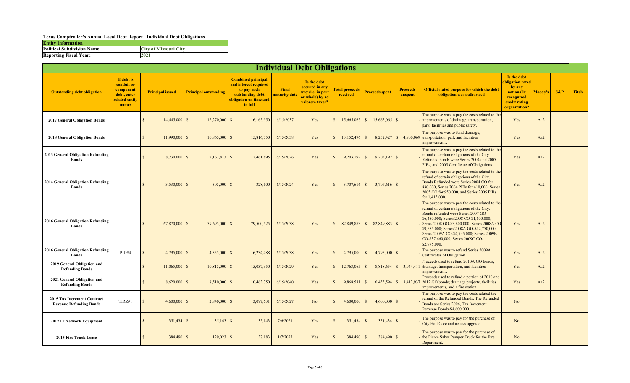### **Texas Comptroller's Annual Local Debt Report - Individual Debt Obligations**

| <b>Entity Information</b>          |                              |
|------------------------------------|------------------------------|
| <b>Political Subdivision Name:</b> | <b>City of Missouri City</b> |
| <b>Reporting Fiscal Year:</b>      | 2021                         |

|                                                               | <b>Individual Debt Obligations</b>                                              |                                  |                                 |                                                                                                                            |                        |                                                                                         |                                   |                            |                            |                                                                                                                                                                                                                                                                                                                                                                                  |                                                                                                         |         |        |              |
|---------------------------------------------------------------|---------------------------------------------------------------------------------|----------------------------------|---------------------------------|----------------------------------------------------------------------------------------------------------------------------|------------------------|-----------------------------------------------------------------------------------------|-----------------------------------|----------------------------|----------------------------|----------------------------------------------------------------------------------------------------------------------------------------------------------------------------------------------------------------------------------------------------------------------------------------------------------------------------------------------------------------------------------|---------------------------------------------------------------------------------------------------------|---------|--------|--------------|
| <b>Outstanding debt obligation</b>                            | If debt is<br>conduit or<br>component<br>debt, enter<br>related entity<br>name: | <b>Principal issued</b>          | <b>Principal outstanding</b>    | <b>Combined principal</b><br>and interest required<br>to pay each<br>outstanding debt<br>obligation on time and<br>in full | Final<br>maturity date | Is the debt<br>secured in any<br>way (i.e. in part<br>or whole) by ad<br>valorem taxes? | <b>Total proceeds</b><br>received | <b>Proceeds spent</b>      | <b>Proceeds</b><br>unspent | <b>Official stated purpose for which the debt</b><br>obligation was authorized                                                                                                                                                                                                                                                                                                   | Is the debt<br>obligation rated<br>by any<br>nationally<br>recognized<br>credit rating<br>organization? | Moody's | $S\&P$ | <b>Fitch</b> |
| <b>2017 General Obligation Bonds</b>                          |                                                                                 | $\mathcal{S}$<br>$14,445,000$ \$ | $12,270,000$ \$                 | 16,165,950                                                                                                                 | 6/15/2037              | Yes                                                                                     | S<br>$15,665,065$ \$              | $15,665,065$ \$            |                            | The purpose was to pay the costs related to the<br>improvements of drainage, transportation,<br>park, facilities and public safety.                                                                                                                                                                                                                                              | Yes                                                                                                     | Aa2     |        |              |
| <b>2018 General Obligation Bonds</b>                          |                                                                                 | $\mathcal{S}$<br>$11,990,000$ \$ | $10,865,000$ \$                 | 15,816,750                                                                                                                 | 6/15/2038              | Yes                                                                                     |                                   |                            |                            | The purpose was to fund drainage;<br>$8,252,427$ \ \ \$ 4,900,069 \transportation; park and facilities<br>improvements.                                                                                                                                                                                                                                                          | Yes                                                                                                     | Aa2     |        |              |
| 2013 General Obligation Refunding<br><b>Bonds</b>             |                                                                                 | $\mathcal{S}$<br>8,730,000       | $\mathcal{S}$<br>$2,167,813$ \$ | 2,461,895                                                                                                                  | 6/15/2026              | Yes                                                                                     | $\mathbf{s}$<br>$9,203,192$ \$    | $9,203,192$ \$             |                            | The purpose was to pay the costs related to the<br>refund of certain obligations of the City.<br>Refunded bonds were Series 2004 and 2005<br>PIBs, and 2005 Certificate of Obligations.                                                                                                                                                                                          | Yes                                                                                                     | Aa2     |        |              |
| 2014 General Obligation Refunding<br><b>Bonds</b>             |                                                                                 | 3,530,000<br>$\mathcal{S}$       | $305,000$ \$<br>$\mathcal{S}$   | 328,100                                                                                                                    | 6/15/2024              | Yes                                                                                     | $\mathbf{s}$<br>$3.707.616$ \$    | $3,707,616$ \$             |                            | The purpose was to pay the costs related to the<br>refund of certain obligations of the City.<br>Bonds Refunded were Series 2004 CO for<br>830,000, Series 2004 PIBs for 410,000; Series<br>2005 CO for 950,000, and Series 2005 PIBs<br>for 1,415,000.                                                                                                                          | Yes                                                                                                     | Aa2     |        |              |
| 2016 General Obligation Refunding<br><b>Bonds</b>             |                                                                                 | $\mathcal{S}$<br>67,870,000      | $\mathcal{S}$<br>59,695,000 \$  | 79,500,525                                                                                                                 | 6/15/2038              | Yes                                                                                     | S<br>82,849,883                   | $\mathbf{s}$<br>82,849,883 | $\mathbf{s}$               | The purpose was to pay the costs related to the<br>refund of certain obligations of the City.<br>Bonds refunded were Series 2007 GO-<br>\$6,450,000; Series 2008 CO-\$1,600,000;<br>Series 2008 GO-\$3,800,000; Series 2008A CO-<br>\$9,655,000; Series 2008A GO-\$12,750,000;<br>Series 2009A CO-\$4,795,000; Series 2009B<br>CO-\$37,660,000; Series 2009C CO-<br>\$2,975,000. | Yes                                                                                                     | Aa2     |        |              |
| <b>2016 General Obligation Refunding</b><br><b>Bonds</b>      | PID#4                                                                           | 4,795,000<br>$\mathcal{S}$       | $4,355,000$ \$<br>$\mathcal{S}$ | 6,234,488                                                                                                                  | 6/15/2038              | Yes                                                                                     | 4,795,000<br>$\mathbb{S}$         | 4,795,000<br>$\mathbf{s}$  | $\mathbf{\hat{S}}$         | The purpose was to refund Series 2009A<br>Certificates of Obligation                                                                                                                                                                                                                                                                                                             | Yes                                                                                                     | Aa2     |        |              |
| 2019 General Obligation and<br><b>Refunding Bonds</b>         |                                                                                 | $\mathbf{S}$<br>$11,065,000$ \$  | $10,815,000$ \$                 | 15,037,350                                                                                                                 | 6/15/2029              | Yes                                                                                     |                                   |                            | 8,818,654 \$ 3,944,411     | Proceeds used to refund 2010A GO bonds;<br>drainage, transportation, and facilities<br>improvements.                                                                                                                                                                                                                                                                             | Yes                                                                                                     | Aa2     |        |              |
| 2021 General Obligation and<br><b>Refunding Bonds</b>         |                                                                                 | $\mathcal{S}$<br>$8,620,000$ \$  | $8,510,000$ \$                  | 10,463,750                                                                                                                 | 6/15/2040              | Yes                                                                                     | $\mathbb{S}$<br>9,868,531         | $\mathbf{s}$               | 6,455,594 \$ 3,412,937     | Proceeds used to refund a portion of 2010 and<br>2012 GO bonds; drainage projects, facilities<br>improvements, and a fire station.                                                                                                                                                                                                                                               | Yes                                                                                                     | Aa2     |        |              |
| 2015 Tax Increment Contract<br><b>Revenue Refunding Bonds</b> | TIRZ#1                                                                          | $\mathcal{S}$<br>4,600,000       | $\mathbf{s}$<br>$2,840,000$ \$  | 3,097,631                                                                                                                  | 6/15/2027              | N <sub>o</sub>                                                                          | $\mathbf{s}$<br>$4,600,000$ \$    | 4,600,000                  | $\mathbf{\hat{S}}$         | The purpose was to pay the costs related the<br>refund of the Refunded Bonds. The Refunded<br>Bonds are Series 2006, Tax Increment<br>Revenue Bonds-\$4,600,000.                                                                                                                                                                                                                 | N <sub>o</sub>                                                                                          |         |        |              |
| 2017 IT Network Equipment                                     |                                                                                 | $351,434$ \$<br>$\mathcal{S}$    | $35,143$ \$                     | 35,143                                                                                                                     | 7/6/2021               | Yes                                                                                     | $\mathbb{S}$<br>351,434           | l S                        |                            | The purpose was to pay for the purchase of<br>City Hall Core and access upgrade                                                                                                                                                                                                                                                                                                  | N <sub>o</sub>                                                                                          |         |        |              |
| 2013 Fire Truck Lease                                         |                                                                                 | $\mathbf{S}$<br>$384,490$ \$     | $129,023$ \$                    | 137,183                                                                                                                    | 1/7/2023               | Yes                                                                                     | 384,490 \$<br>$\mathbf{s}$        | $384,490$ \$               |                            | The purpose was to pay for the purchase of<br>the Pierce Saber Pumper Truck for the Fire<br>Department.                                                                                                                                                                                                                                                                          | No                                                                                                      |         |        |              |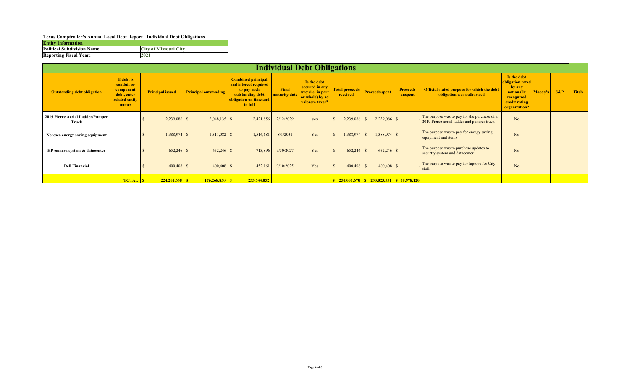#### **Texas Comptroller's Annual Local Debt Report - Individual Debt Obligations**

| <b>Entity Information</b>          |                              |
|------------------------------------|------------------------------|
| <b>Political Subdivision Name:</b> | <b>City of Missouri City</b> |
| <b>Reporting Fiscal Year:</b>      | 2021                         |

|                                           | <b>Individual Debt Obligations</b>                                              |                         |                              |                                                                                                                            |                        |                                                                                         |                                   |                                                    |                            |                                                                                            |                                                                                                         |         |        |              |
|-------------------------------------------|---------------------------------------------------------------------------------|-------------------------|------------------------------|----------------------------------------------------------------------------------------------------------------------------|------------------------|-----------------------------------------------------------------------------------------|-----------------------------------|----------------------------------------------------|----------------------------|--------------------------------------------------------------------------------------------|---------------------------------------------------------------------------------------------------------|---------|--------|--------------|
| <b>Outstanding debt obligation</b>        | If debt is<br>conduit or<br>component<br>debt, enter<br>related entity<br>name: | <b>Principal issued</b> | <b>Principal outstanding</b> | <b>Combined principal</b><br>and interest required<br>to pay each<br>outstanding debt<br>obligation on time and<br>in full | Final<br>maturity date | Is the debt<br>secured in any<br>way (i.e. in part<br>or whole) by ad<br>valorem taxes? | <b>Total proceeds</b><br>received | <b>Proceeds spent</b>                              | <b>Proceeds</b><br>unspent | <b>Official stated purpose for which the debt</b><br>obligation was authorized             | Is the debt<br>obligation rated<br>by any<br>nationally<br>recognized<br>credit rating<br>organization? | Moody's | $S\&P$ | <b>Fitch</b> |
| 2019 Pierce Aerial Ladder/Pumper<br>Truck |                                                                                 | $2,239,086$ \$          | $2,048,135$ \$               | 2,421,856                                                                                                                  | 2/12/2029              | yes                                                                                     | $2,239,086$ \$                    | $2,239,086$ \$                                     |                            | The purpose was to pay for the purchase of a<br>2019 Pierce aerial ladder and pumper truck | No                                                                                                      |         |        |              |
| Noresco energy saving equipment           |                                                                                 | $1,388,974$ \$          | $1,311,082$ \$               | 1,516,681                                                                                                                  | 8/1/2031               | Yes                                                                                     | $1,388,974$ \$                    | $1,388,974$ \$                                     |                            | The purpose was to pay for energy saving<br>equipment and items                            | No                                                                                                      |         |        |              |
| HP camera system & datacenter             |                                                                                 | $652,246$ \$            | $652,246$ \$                 | 713,896                                                                                                                    | 9/30/2027              | Yes                                                                                     | $652,246$ \$                      | $652,246$ \$                                       |                            | The purpose was to purchase updates to<br>securtiy system and datacenter                   | N <sub>o</sub>                                                                                          |         |        |              |
| <b>Dell Financial</b>                     |                                                                                 | $400,408$ \$            | $400,408$ \$                 | 452,161                                                                                                                    | 9/10/2025              | Yes                                                                                     | 400,408                           | $400,408$ \$                                       |                            | The purpose was to pay for laptops for City<br><b>Istaff</b>                               | N <sub>o</sub>                                                                                          |         |        |              |
|                                           | <b>TOTAL S</b>                                                                  |                         |                              | 233,744,052                                                                                                                |                        |                                                                                         |                                   | $\frac{$250,001,670}{$8230,023,551}{$819,978,120}$ |                            |                                                                                            |                                                                                                         |         |        |              |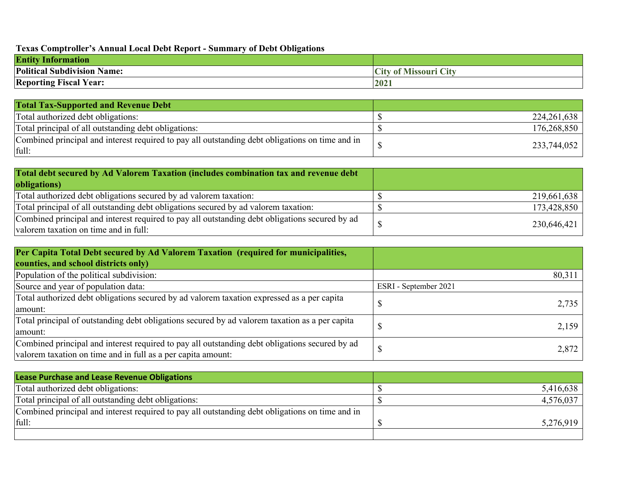# **Texas Comptroller's Annual Local Debt Report - Summary of Debt Obligations**

| <b>Entity Information</b>                                |                                            |
|----------------------------------------------------------|--------------------------------------------|
| <b>Political Subdivision N</b><br>$\rightarrow$<br>Name: | <b>City</b><br>of Missouri<br>$\mathbf{C}$ |
| 'Year:<br><b>Reporting Fiscal</b>                        | 2021                                       |

| <b>Total Tax-Supported and Revenue Debt</b>                                                              |             |
|----------------------------------------------------------------------------------------------------------|-------------|
| Total authorized debt obligations:                                                                       | 224,261,638 |
| Total principal of all outstanding debt obligations:                                                     | 176,268,850 |
| Combined principal and interest required to pay all outstanding debt obligations on time and in<br>full: | 233,744,052 |

| Total debt secured by Ad Valorem Taxation (includes combination tax and revenue debt                                                    |             |
|-----------------------------------------------------------------------------------------------------------------------------------------|-------------|
| obligations)                                                                                                                            |             |
| Total authorized debt obligations secured by ad valorem taxation:                                                                       | 219,661,638 |
| Total principal of all outstanding debt obligations secured by ad valorem taxation:                                                     | 173,428,850 |
| Combined principal and interest required to pay all outstanding debt obligations secured by ad<br>valorem taxation on time and in full: | 230,646,421 |

| Per Capita Total Debt secured by Ad Valorem Taxation (required for municipalities,             |                       |
|------------------------------------------------------------------------------------------------|-----------------------|
| counties, and school districts only)                                                           |                       |
| Population of the political subdivision:                                                       | 80,311                |
| Source and year of population data:                                                            | ESRI - September 2021 |
| Total authorized debt obligations secured by ad valorem taxation expressed as a per capita     | 2,735                 |
| amount:                                                                                        |                       |
| Total principal of outstanding debt obligations secured by ad valorem taxation as a per capita | 2,159                 |
| amount:                                                                                        |                       |
| Combined principal and interest required to pay all outstanding debt obligations secured by ad | 2,872                 |
| valorem taxation on time and in full as a per capita amount:                                   |                       |

| <b>Lease Purchase and Lease Revenue Obligations</b>                                             |           |
|-------------------------------------------------------------------------------------------------|-----------|
| Total authorized debt obligations:                                                              | 5,416,638 |
| Total principal of all outstanding debt obligations:                                            | 4,576,037 |
| Combined principal and interest required to pay all outstanding debt obligations on time and in |           |
| full:                                                                                           | 5,276,919 |
|                                                                                                 |           |